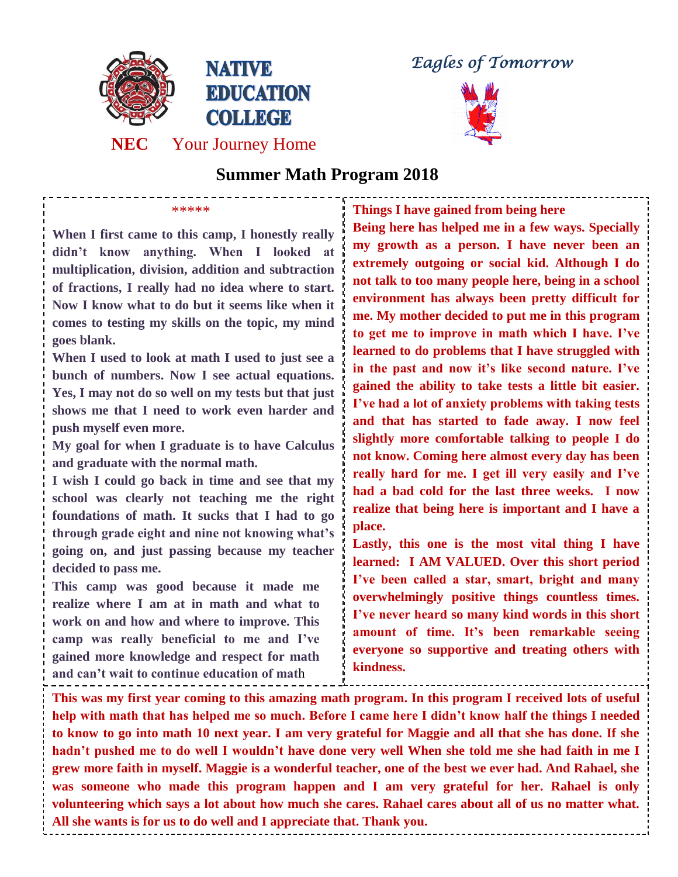

**Eagles of Tomorrow** 



## **Summer Math Program 2018**

**When I first came to this camp, I honestly really didn't know anything. When I looked at multiplication, division, addition and subtraction of fractions, I really had no idea where to start. Now I know what to do but it seems like when it comes to testing my skills on the topic, my mind goes blank.** 

\*\*\*\*\*

**When I used to look at math I used to just see a bunch of numbers. Now I see actual equations. Yes, I may not do so well on my tests but that just shows me that I need to work even harder and push myself even more.** 

**My goal for when I graduate is to have Calculus and graduate with the normal math.**

**I wish I could go back in time and see that my school was clearly not teaching me the right foundations of math. It sucks that I had to go through grade eight and nine not knowing what's going on, and just passing because my teacher decided to pass me.**

**This camp was good because it made me realize where I am at in math and what to work on and how and where to improve. This camp was really beneficial to me and I've gained more knowledge and respect for math and can't wait to continue education of mat**h

**Things I have gained from being here**

**Being here has helped me in a few ways. Specially my growth as a person. I have never been an extremely outgoing or social kid. Although I do not talk to too many people here, being in a school environment has always been pretty difficult for me. My mother decided to put me in this program to get me to improve in math which I have. I've learned to do problems that I have struggled with in the past and now it's like second nature. I've gained the ability to take tests a little bit easier. I've had a lot of anxiety problems with taking tests and that has started to fade away. I now feel slightly more comfortable talking to people I do not know. Coming here almost every day has been really hard for me. I get ill very easily and I've had a bad cold for the last three weeks. I now realize that being here is important and I have a place.** 

**Lastly, this one is the most vital thing I have learned: I AM VALUED. Over this short period I've been called a star, smart, bright and many overwhelmingly positive things countless times. I've never heard so many kind words in this short amount of time. It's been remarkable seeing everyone so supportive and treating others with kindness.**

**This was my first year coming to this amazing math program. In this program I received lots of useful help with math that has helped me so much. Before I came here I didn't know half the things I needed to know to go into math 10 next year. I am very grateful for Maggie and all that she has done. If she hadn't pushed me to do well I wouldn't have done very well When she told me she had faith in me I grew more faith in myself. Maggie is a wonderful teacher, one of the best we ever had. And Rahael, she was someone who made this program happen and I am very grateful for her. Rahael is only volunteering which says a lot about how much she cares. Rahael cares about all of us no matter what. All she wants is for us to do well and I appreciate that. Thank you.**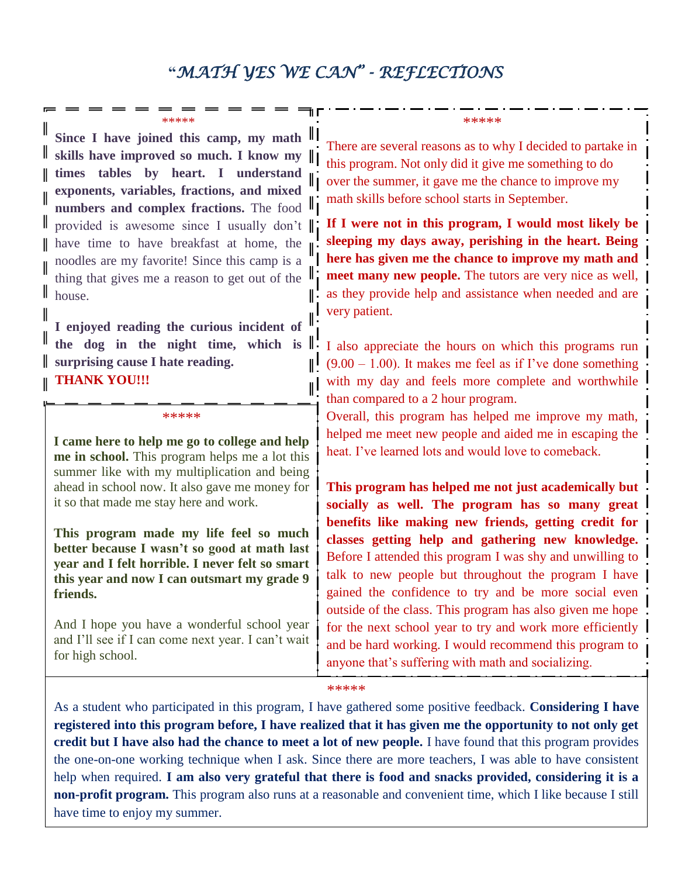## **"***MATH YES WE CAN" - REFLECTIONS*

II

∥!

ıl

## \*\*\*\*\*

**Since I have joined this camp, my math skills have improved so much. I know my times tables by heart. I understand exponents, variables, fractions, and mixed numbers and complex fractions.** The food provided is awesome since I usually don't have time to have breakfast at home, the noodles are my favorite! Since this camp is a thing that gives me a reason to get out of the II house.

**I enjoyed reading the curious incident of the dog in the night time, which is surprising cause I hate reading. THANK YOU!!!**

\*\*\*\*\*

**I came here to help me go to college and help me in school.** This program helps me a lot this summer like with my multiplication and being ahead in school now. It also gave me money for it so that made me stay here and work.

**This program made my life feel so much better because I wasn't so good at math last year and I felt horrible. I never felt so smart this year and now I can outsmart my grade 9 friends.**

And I hope you have a wonderful school year and I'll see if I can come next year. I can't wait for high school.

\*\*\*\*\*

There are several reasons as to why I decided to partake in this program. Not only did it give me something to do over the summer, it gave me the chance to improve my math skills before school starts in September.

**If I were not in this program, I would most likely be sleeping my days away, perishing in the heart. Being here has given me the chance to improve my math and meet many new people.** The tutors are very nice as well, as they provide help and assistance when needed and are very patient.

I also appreciate the hours on which this programs run  $(9.00 - 1.00)$ . It makes me feel as if I've done something with my day and feels more complete and worthwhile than compared to a 2 hour program.

Overall, this program has helped me improve my math, helped me meet new people and aided me in escaping the heat. I've learned lots and would love to comeback.

**This program has helped me not just academically but socially as well. The program has so many great benefits like making new friends, getting credit for classes getting help and gathering new knowledge.** Before I attended this program I was shy and unwilling to talk to new people but throughout the program I have gained the confidence to try and be more social even outside of the class. This program has also given me hope for the next school year to try and work more efficiently and be hard working. I would recommend this program to anyone that's suffering with math and socializing.

## \*\*\*\*\*

As a student who participated in this program, I have gathered some positive feedback. **Considering I have registered into this program before, I have realized that it has given me the opportunity to not only get credit but I have also had the chance to meet a lot of new people.** I have found that this program provides the one-on-one working technique when I ask. Since there are more teachers, I was able to have consistent help when required. **I am also very grateful that there is food and snacks provided, considering it is a non-profit program.** This program also runs at a reasonable and convenient time, which I like because I still have time to enjoy my summer.